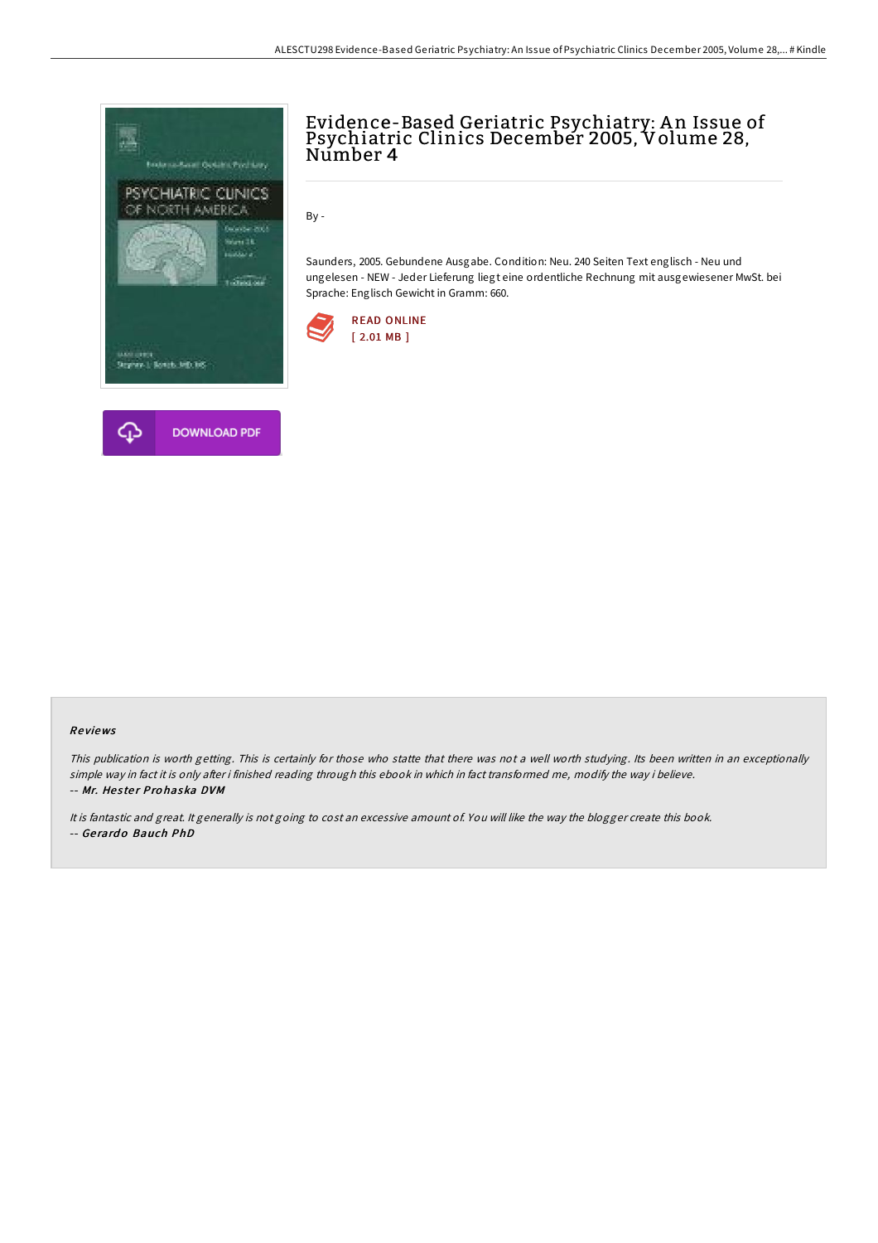

## Evidence-Based Geriatric Psychiatry: A n Issue of Psychiatric Clinics December 2005, Volume 28,<br>Number 4

By -

Saunders, 2005. Gebundene Ausgabe. Condition: Neu. 240 Seiten Text englisch - Neu und ungelesen - NEW - Jeder Lieferung liegt eine ordentliche Rechnung mit ausgewiesener MwSt. bei Sprache: Englisch Gewicht in Gramm: 660.



## Re views

This publication is worth getting. This is certainly for those who statte that there was not <sup>a</sup> well worth studying. Its been written in an exceptionally simple way in fact it is only after i finished reading through this ebook in which in fact transformed me, modify the way i believe. -- Mr. Hester Prohaska DVM

It is fantastic and great. It generally is not going to cost an excessive amount of. You will like the way the blogger create this book. -- Ge rard o Bauch PhD